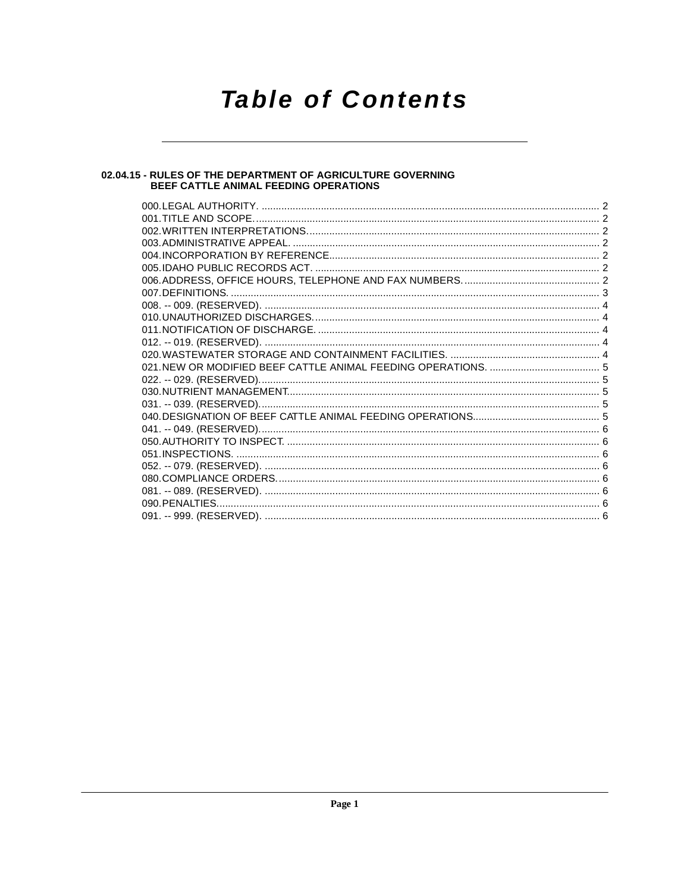# **Table of Contents**

# 02.04.15 - RULES OF THE DEPARTMENT OF AGRICULTURE GOVERNING<br>BEEF CATTLE ANIMAL FEEDING OPERATIONS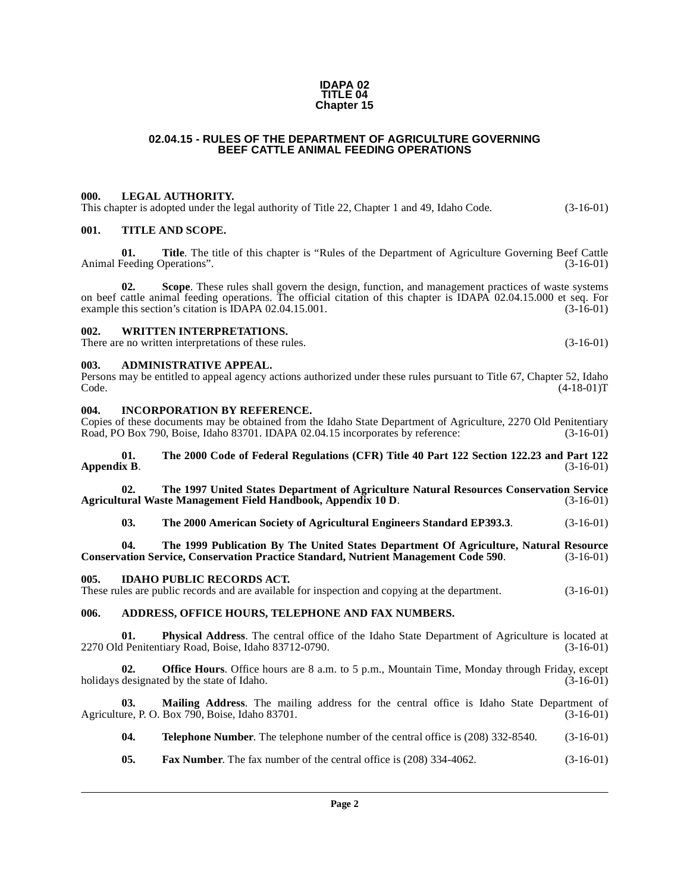#### **IDAPA 02 TITLE 04 Chapter 15**

# **02.04.15 - RULES OF THE DEPARTMENT OF AGRICULTURE GOVERNING BEEF CATTLE ANIMAL FEEDING OPERATIONS**

## <span id="page-1-1"></span><span id="page-1-0"></span>**000. LEGAL AUTHORITY.**

This chapter is adopted under the legal authority of Title 22, Chapter 1 and 49, Idaho Code. (3-16-01)

### <span id="page-1-2"></span>**001. TITLE AND SCOPE.**

**01. Title**. The title of this chapter is "Rules of the Department of Agriculture Governing Beef Cattle Animal Feeding Operations". (3-16-01)

**02.** Scope. These rules shall govern the design, function, and management practices of waste systems on beef cattle animal feeding operations. The official citation of this chapter is IDAPA 02.04.15.000 et seq. For example this section's citation is IDAPA 02.04.15.001. example this section's citation is IDAPA 02.04.15.001.

#### <span id="page-1-3"></span>**002. WRITTEN INTERPRETATIONS.**

There are no written interpretations of these rules. (3-16-01)

#### <span id="page-1-4"></span>**003. ADMINISTRATIVE APPEAL.**

Persons may be entitled to appeal agency actions authorized under these rules pursuant to Title 67, Chapter 52, Idaho  $\text{Code.}$  (4-18-01)T

#### <span id="page-1-5"></span>**004. INCORPORATION BY REFERENCE.**

Copies of these documents may be obtained from the Idaho State Department of Agriculture, 2270 Old Penitentiary<br>Road, PO Box 790, Boise, Idaho 83701. IDAPA 02.04.15 incorporates by reference: (3-16-01) Road, PO Box 790, Boise, Idaho 83701. IDAPA 02.04.15 incorporates by reference:

#### **[01. The 2000 Code of Federal Regulations \(CFR\) Title 40 Part 122 Section 122.23 and Part 122](http://www.access.gpo.gov/nara/cfr/waisidx_00/40cfrv14_00.html) [Appendix B](http://www.access.gpo.gov/nara/cfr/waisidx_00/40cfrv14_00.html).** (3-16-01)

**[02. The 1997](http://www.usda.gov) [United States Department of Agriculture Natural Resources Conservation Service](ftp://ftp.ftw.nrcs.usda.gov/pub/awmfh/chap10-app10d.pdf) [Agricultural Waste Management Field Handbook, Appendix 10 D](ftp://ftp.ftw.nrcs.usda.gov/pub/awmfh/chap10-app10d.pdf).** 

**[03. The 2000 American Society of Agricultural Engineers Standard EP393.3](http://asae.frymulti.com/)**. (3-16-01)

**[04. The 1999 Publication By The United States Department Of Agriculture, Natural Resource](http://www.usda.gov/) [Conservation Service, Conservation Practice Standard, Nutrient Management Code 590](http://www.usda.gov/).** 

#### <span id="page-1-6"></span>**005. IDAHO PUBLIC RECORDS ACT.**

These rules are public records and are available for inspection and copying at the department. (3-16-01)

# <span id="page-1-7"></span>**006. ADDRESS, OFFICE HOURS, TELEPHONE AND FAX NUMBERS.**

**01. Physical Address**. The central office of the Idaho State Department of Agriculture is located at 2270 Old Penitentiary Road, Boise, Idaho 83712-0790. (3-16-01)

**02. Office Hours**. Office hours are 8 a.m. to 5 p.m., Mountain Time, Monday through Friday, except designated by the state of Idaho. (3-16-01) holidays designated by the state of Idaho.

**03.** Mailing Address. The mailing address for the central office is Idaho State Department of ure, P. O. Box 790, Boise, Idaho 83701. Agriculture, P. O. Box  $790$ , Boise, Idaho 83701.

**04. Telephone Number**. The telephone number of the central office is (208) 332-8540. (3-16-01)

**05. Fax Number**. The fax number of the central office is (208) 334-4062. (3-16-01)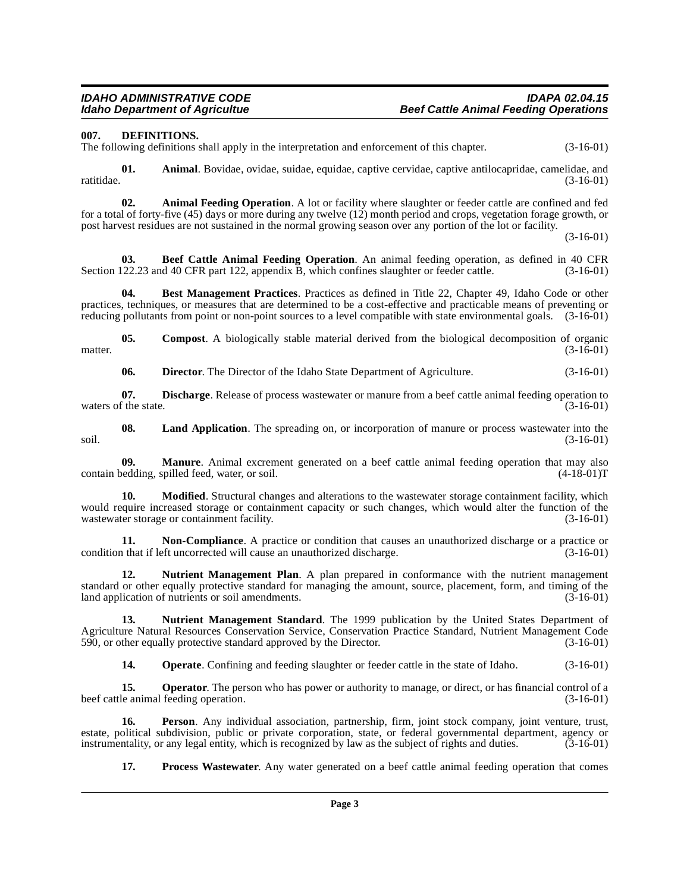<span id="page-2-4"></span><span id="page-2-0"></span>**007. DEFINITIONS.**

The following definitions shall apply in the interpretation and enforcement of this chapter. (3-16-01)

**01.** Animal. Bovidae, ovidae, suidae, equidae, captive cervidae, captive antilocapridae, camelidae, and ratitidae. (3-16-01) ratitidae. (3-16-01)

<span id="page-2-1"></span>**02. Animal Feeding Operation**. A lot or facility where slaughter or feeder cattle are confined and fed for a total of forty-five (45) days or more during any twelve (12) month period and crops, vegetation forage growth, or post harvest residues are not sustained in the normal growing season over any portion of the lot or facility.

(3-16-01)

<span id="page-2-2"></span>**03. Beef Cattle Animal Feeding Operation**. An animal feeding operation, as defined in 40 CFR part 122. appendix B, which confines slaughter or feeder cattle. (3-16-01) Section 122.23 and 40 CFR part 122, appendix B, which confines slaughter or feeder cattle.

<span id="page-2-3"></span>**04. Best Management Practices**. Practices as defined in Title 22, Chapter 49, Idaho Code or other practices, techniques, or measures that are determined to be a cost-effective and practicable means of preventing or reducing pollutants from point or non-point sources to a level compatible with state environmental goals. (3-16-01)

**05. Compost**. A biologically stable material derived from the biological decomposition of organic matter.  $(3-16-01)$ 

<span id="page-2-6"></span><span id="page-2-5"></span>**06. Director**. The Director of the Idaho State Department of Agriculture. (3-16-01)

**07. Discharge**. Release of process wastewater or manure from a beef cattle animal feeding operation to waters of the state.  $(3-16-01)$ 

**08.** Land Application. The spreading on, or incorporation of manure or process wastewater into the  $(3-16-01)$ soil. (3-16-01)

**09. Manure**. Animal excrement generated on a beef cattle animal feeding operation that may also bedding, spilled feed, water, or soil. (4-18-01) contain bedding, spilled feed, water, or soil.

**10. Modified**. Structural changes and alterations to the wastewater storage containment facility, which would require increased storage or containment capacity or such changes, which would alter the function of the wastewater storage or containment facility. (3-16-01) wastewater storage or containment facility.

<span id="page-2-7"></span>**11. Non-Compliance**. A practice or condition that causes an unauthorized discharge or a practice or condition that if left uncorrected will cause an unauthorized discharge. (3-16-01)

<span id="page-2-8"></span>**12. Nutrient Management Plan**. A plan prepared in conformance with the nutrient management standard or other equally protective standard for managing the amount, source, placement, form, and timing of the land application of nutrients or soil amendments. (3-16-01) land application of nutrients or soil amendments.

**13. Nutrient Management Standard**. The 1999 publication by the United States Department of Agriculture Natural Resources Conservation Service, Conservation Practice Standard, Nutrient Management Code<br>590, or other equally protective standard approved by the Director. (3-16-01) 590, or other equally protective standard approved by the Director.

**14. Operate**. Confining and feeding slaughter or feeder cattle in the state of Idaho. (3-16-01)

**15. Operator**. The person who has power or authority to manage, or direct, or has financial control of a le animal feeding operation. (3-16-01) beef cattle animal feeding operation.

**16. Person**. Any individual association, partnership, firm, joint stock company, joint venture, trust, estate, political subdivision, public or private corporation, state, or federal governmental department, agency or instrumentality, or any legal entity, which is recognized by law as the subject of rights and duties. (3-16 instrumentality, or any legal entity, which is recognized by law as the subject of rights and duties.

**17. Process Wastewater**. Any water generated on a beef cattle animal feeding operation that comes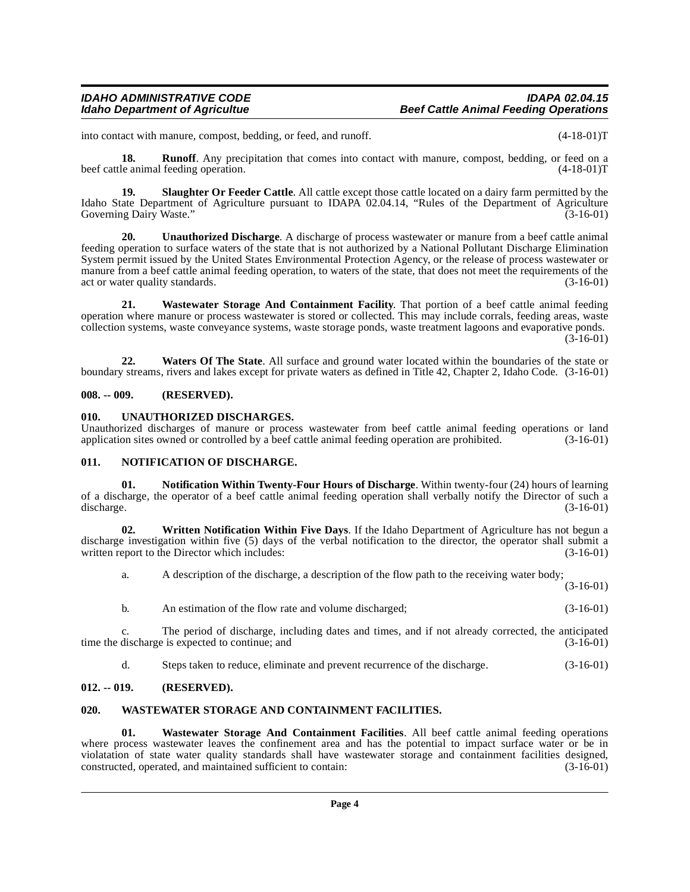# **IDAHO ADMINISTRATIVE CODE IDAPA 02.04.15 Beef Cattle Animal Feeding Operations**

into contact with manure, compost, bedding, or feed, and runoff. (4-18-01)T

**18. Runoff**. Any precipitation that comes into contact with manure, compost, bedding, or feed on a le animal feeding operation. (4-18-01) beef cattle animal feeding operation.

<span id="page-3-6"></span>**19.** Slaughter Or Feeder Cattle. All cattle except those cattle located on a dairy farm permitted by the Idaho State Department of Agriculture pursuant to IDAPA 02.04.14, "Rules of the Department of Agriculture Governing Dairy Waste." (3-16-01)

<span id="page-3-7"></span>**20. Unauthorized Discharge**. A discharge of process wastewater or manure from a beef cattle animal feeding operation to surface waters of the state that is not authorized by a National Pollutant Discharge Elimination System permit issued by the United States Environmental Protection Agency, or the release of process wastewater or manure from a beef cattle animal feeding operation, to waters of the state, that does not meet the requirements of the act or water quality standards. (3-16-01)

<span id="page-3-10"></span>**21. Wastewater Storage And Containment Facility**. That portion of a beef cattle animal feeding operation where manure or process wastewater is stored or collected. This may include corrals, feeding areas, waste collection systems, waste conveyance systems, waste storage ponds, waste treatment lagoons and evaporative ponds.  $(3-16-01)$ 

**22. Waters Of The State**. All surface and ground water located within the boundaries of the state or boundary streams, rivers and lakes except for private waters as defined in Title 42, Chapter 2, Idaho Code. (3-16-01)

## <span id="page-3-0"></span>**008. -- 009. (RESERVED).**

## <span id="page-3-8"></span><span id="page-3-1"></span>**010. UNAUTHORIZED DISCHARGES.**

Unauthorized discharges of manure or process wastewater from beef cattle animal feeding operations or land application sites owned or controlled by a beef cattle animal feeding operation are prohibited. (3-16-01) application sites owned or controlled by a beef cattle animal feeding operation are prohibited.

#### <span id="page-3-5"></span><span id="page-3-2"></span>**011. NOTIFICATION OF DISCHARGE.**

**01. Notification Within Twenty-Four Hours of Discharge**. Within twenty-four (24) hours of learning of a discharge, the operator of a beef cattle animal feeding operation shall verbally notify the Director of such a discharge. (3-16-01) discharge. (3-16-01)

**02. Written Notification Within Five Days**. If the Idaho Department of Agriculture has not begun a discharge investigation within five (5) days of the verbal notification to the director, the operator shall submit a written report to the Director which includes: (3-16-01) written report to the Director which includes:

a. A description of the discharge, a description of the flow path to the receiving water body;

(3-16-01)

b. An estimation of the flow rate and volume discharged; (3-16-01)

c. The period of discharge, including dates and times, and if not already corrected, the anticipated time the discharge is expected to continue; and

<span id="page-3-9"></span>d. Steps taken to reduce, eliminate and prevent recurrence of the discharge. (3-16-01)

# <span id="page-3-3"></span>**012. -- 019. (RESERVED).**

#### <span id="page-3-4"></span>**020. WASTEWATER STORAGE AND CONTAINMENT FACILITIES.**

**01. Wastewater Storage And Containment Facilities**. All beef cattle animal feeding operations where process wastewater leaves the confinement area and has the potential to impact surface water or be in violatation of state water quality standards shall have wastewater storage and containment facilities designed, constructed, operated, and maintained sufficient to contain: (3-16-01) constructed, operated, and maintained sufficient to contain: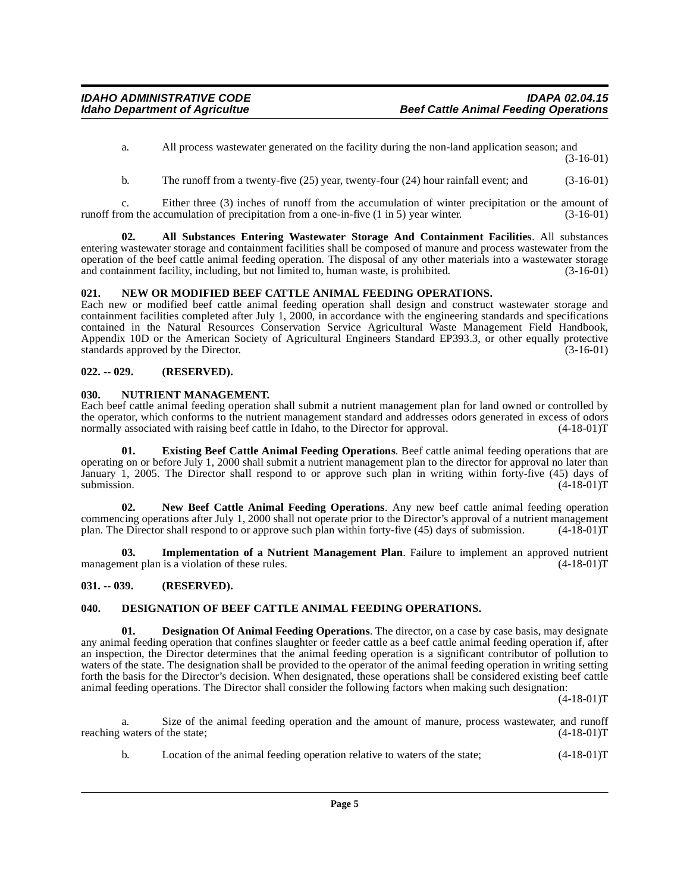- a. All process wastewater generated on the facility during the non-land application season; and (3-16-01)
- <span id="page-4-5"></span>b. The runoff from a twenty-five (25) year, twenty-four (24) hour rainfall event; and (3-16-01)

c. Either three (3) inches of runoff from the accumulation of winter precipitation or the amount of runoff from the accumulation of precipitation from a one-in-five  $(1 \text{ in } 5)$  year winter.  $(3-16-01)$ 

**02. All Substances Entering Wastewater Storage And Containment Facilities**. All substances entering wastewater storage and containment facilities shall be composed of manure and process wastewater from the operation of the beef cattle animal feeding operation. The disposal of any other materials into a wastewater storage<br>and containment facility, including, but not limited to, human waste, is prohibited. (3-16-01) and containment facility, including, but not limited to, human waste, is prohibited.

# <span id="page-4-11"></span><span id="page-4-0"></span>**021. NEW OR MODIFIED BEEF CATTLE ANIMAL FEEDING OPERATIONS.**

Each new or modified beef cattle animal feeding operation shall design and construct wastewater storage and containment facilities completed after July 1, 2000, in accordance with the engineering standards and specifications contained in the Natural Resources Conservation Service Agricultural Waste Management Field Handbook, Appendix 10D or the American Society of Agricultural Engineers Standard EP393.3, or other equally protective standards approved by the Director. (3-16-01)

# <span id="page-4-1"></span>**022. -- 029. (RESERVED).**

# <span id="page-4-12"></span><span id="page-4-2"></span>**030. NUTRIENT MANAGEMENT.**

Each beef cattle animal feeding operation shall submit a nutrient management plan for land owned or controlled by the operator, which conforms to the nutrient management standard and addresses odors generated in excess of odors normally associated with raising beef cattle in Idaho, to the Director for approval. (4-18-01)T normally associated with raising beef cattle in Idaho, to the Director for approval.

<span id="page-4-8"></span>**01. Existing Beef Cattle Animal Feeding Operations**. Beef cattle animal feeding operations that are operating on or before July 1, 2000 shall submit a nutrient management plan to the director for approval no later than January 1, 2005. The Director shall respond to or approve such plan in writing within forty-five (45) days of submission.  $(4-18-01)T$ 

<span id="page-4-10"></span>**02. New Beef Cattle Animal Feeding Operations**. Any new beef cattle animal feeding operation commencing operations after July 1, 2000 shall not operate prior to the Director's approval of a nutrient management<br>plan. The Director shall respond to or approve such plan within forty-five (45) days of submission. (4-18 plan. The Director shall respond to or approve such plan within forty-five (45) days of submission.

<span id="page-4-9"></span>**03. Implementation of a Nutrient Management Plan**. Failure to implement an approved nutrient nent plan is a violation of these rules. (4-18-01)<sup>T</sup> management plan is a violation of these rules.

# <span id="page-4-3"></span>**031. -- 039. (RESERVED).**

# <span id="page-4-7"></span><span id="page-4-4"></span>**040. DESIGNATION OF BEEF CATTLE ANIMAL FEEDING OPERATIONS.**

<span id="page-4-6"></span>**01. Designation Of Animal Feeding Operations**. The director, on a case by case basis, may designate any animal feeding operation that confines slaughter or feeder cattle as a beef cattle animal feeding operation if, after an inspection, the Director determines that the animal feeding operation is a significant contributor of pollution to waters of the state. The designation shall be provided to the operator of the animal feeding operation in writing setting forth the basis for the Director's decision. When designated, these operations shall be considered existing beef cattle animal feeding operations. The Director shall consider the following factors when making such designation:

 $(4-18-01)T$ 

a. Size of the animal feeding operation and the amount of manure, process wastewater, and runoff waters of the state;  $(4-18-01)$ T reaching waters of the state;

b. Location of the animal feeding operation relative to waters of the state; (4-18-01)T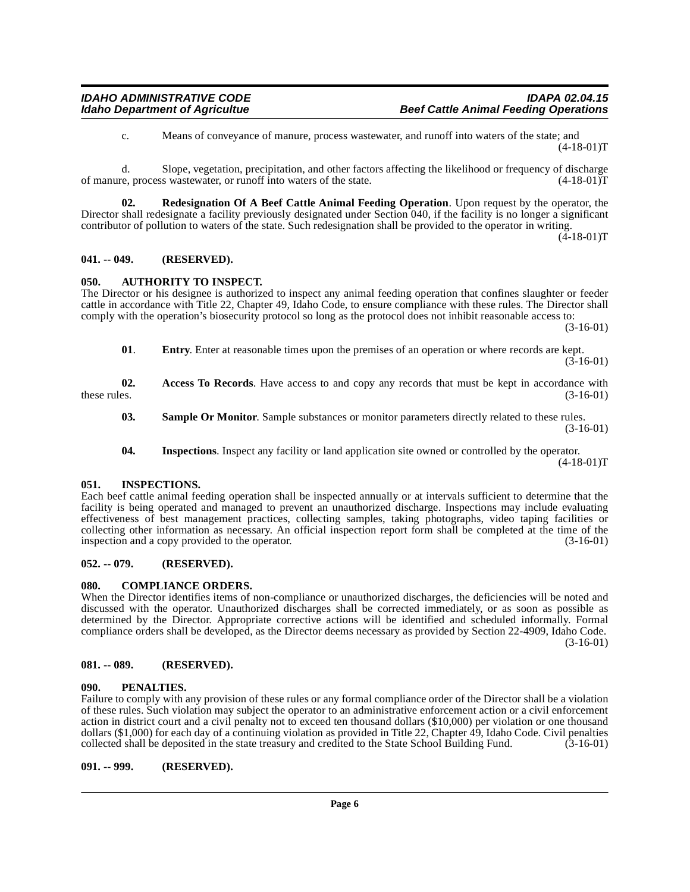<span id="page-5-12"></span>c. Means of conveyance of manure, process wastewater, and runoff into waters of the state; and (4-18-01)T

d. Slope, vegetation, precipitation, and other factors affecting the likelihood or frequency of discharge of manure, process wastewater, or runoff into waters of the state. (4-18-01)T

**02. Redesignation Of A Beef Cattle Animal Feeding Operation**. Upon request by the operator, the Director shall redesignate a facility previously designated under Section 040, if the facility is no longer a significant contributor of pollution to waters of the state. Such redesignation shall be provided to the operator in writing.  $(4-18-01)T$ 

#### <span id="page-5-0"></span>**041. -- 049. (RESERVED).**

#### <span id="page-5-8"></span><span id="page-5-1"></span>**050. AUTHORITY TO INSPECT.**

The Director or his designee is authorized to inspect any animal feeding operation that confines slaughter or feeder cattle in accordance with Title 22, Chapter 49, Idaho Code, to ensure compliance with these rules. The Director shall comply with the operation's biosecurity protocol so long as the protocol does not inhibit reasonable access to:

(3-16-01)

**01**. **Entry**. Enter at reasonable times upon the premises of an operation or where records are kept. (3-16-01)

**02.** Access To Records. Have access to and copy any records that must be kept in accordance with these rules.  $(3-16-01)$ these rules.  $(3-16-01)$ 

**03.** Sample Or Monitor. Sample substances or monitor parameters directly related to these rules. (3-16-01)

<span id="page-5-10"></span>**04. Inspections**. Inspect any facility or land application site owned or controlled by the operator.  $(4-18-01)T$ 

#### <span id="page-5-2"></span>**051. INSPECTIONS.**

Each beef cattle animal feeding operation shall be inspected annually or at intervals sufficient to determine that the facility is being operated and managed to prevent an unauthorized discharge. Inspections may include evaluating effectiveness of best management practices, collecting samples, taking photographs, video taping facilities or collecting other information as necessary. An official inspection report form shall be completed at the time of the inspection and a copy provided to the operator. (3-16-01)

# <span id="page-5-3"></span>**052. -- 079. (RESERVED).**

# <span id="page-5-9"></span><span id="page-5-4"></span>**080. COMPLIANCE ORDERS.**

When the Director identifies items of non-compliance or unauthorized discharges, the deficiencies will be noted and discussed with the operator. Unauthorized discharges shall be corrected immediately, or as soon as possible as determined by the Director. Appropriate corrective actions will be identified and scheduled informally. Formal compliance orders shall be developed, as the Director deems necessary as provided by Section 22-4909, Idaho Code. (3-16-01)

#### <span id="page-5-5"></span>**081. -- 089. (RESERVED).**

#### <span id="page-5-11"></span><span id="page-5-6"></span>**090. PENALTIES.**

Failure to comply with any provision of these rules or any formal compliance order of the Director shall be a violation of these rules. Such violation may subject the operator to an administrative enforcement action or a civil enforcement action in district court and a civil penalty not to exceed ten thousand dollars (\$10,000) per violation or one thousand dollars (\$1,000) for each day of a continuing violation as provided in Title 22, Chapter 49, Idaho Code. Civil penalties collected shall be deposited in the state treasury and credited to the State School Building Fund. (3 collected shall be deposited in the state treasury and credited to the State School Building Fund.

#### <span id="page-5-7"></span>**091. -- 999. (RESERVED).**